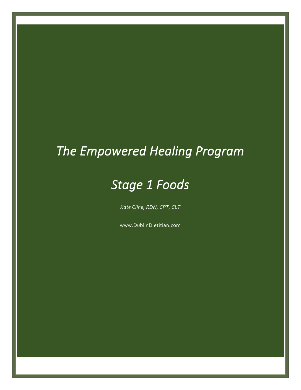# *The Empowered Healing Program*

# *Stage 1 Foods*

*Kate Cline, RDN, CPT, CLT*

[www.DublinDietitian.com](http://www.dublindietitian.com/)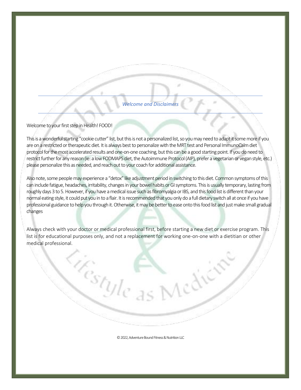### *Welcome and Disclaimers*

#### Welcome to your first step in Health! FOOD!

This is a wonderful starting "cookie cutter" list, but this is not a personalized list, so you may need to adapt it some more if you are on a restricted or therapeutic diet. It is always best to personalize with the MRT test and Personal ImmunoCalm diet protocol for the most accelerated results and one-on-one coaching, but this can be a good starting point. If you do need to restrict further for any reason (ie: a low FODMAPS diet, the Autoimmune Protocol(AIP), prefer a vegetarian or vegan style, etc.) please personalize this as needed, and reach out to your coach for additional assistance.

Also note, some people may experience a "detox" like adjustment period in switching to this diet. Common symptoms of this can include fatigue, headaches, irritability, changes in your bowel habits or GI symptoms. This is usually temporary, lasting from roughly days 3 to 5. However, if you have a medical issue such as fibromyalgia or IBS, and this food list is different than your normal eating style, it could put you in to a flair. It is recommended that you only do a full dietary switch all at once if you have professional guidance to help you through it. Otherwise, it may be better to ease onto this food list and just make small gradual changes

Always check with your doctor or medical professional first, before starting a new diet or exercise program. This list is for educational purposes only, and not a replacement for working one-on-one with a dietitian or other medical professional.

<sup>Ucstyle</sup>

©2022, Adventure Bound Fitness & Nutrition LLC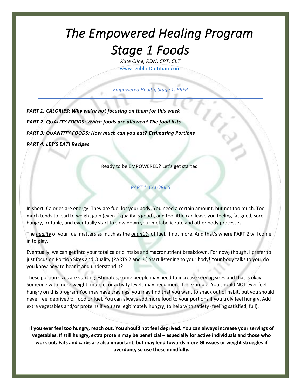# *The Empowered Healing Program Stage 1 Foods*

*Kate Cline, RDN, CPT, CLT* [www.DublinDietitian.com](http://www.dublindietitian.com/)

*Empowered Health, Stage 1: PREP*

*PART 1: CALORIES: Why we're not focusing on them for this week PART 2: QUALITY FOODS: Which foods are allowed? The food lists PART 3: QUANTITY FOODS: How much can you eat? Estimating Portions PART 4: LET'S EAT! Recipes*

Ready to be EMPOWERED? Let's get started!

### *PART 1: CALORIES*

In short, Calories are energy. They are fuel for your body. You need a certain amount, but not too much. Too much tends to lead to weight gain (even if quality is good), and too little can leave you feeling fatigued, sore, hungry, irritable, and eventually start to slow down your metabolic rate and other body processes.

The *quality* of your fuel matters as much as the *quantity* of fuel, if not more. And that's where PART 2 will come in to play.

Eventually, we can get into your total caloric intake and macronutrient breakdown. For now, though, I prefer to just focus on Portion Sizes and Quality (PARTS 2 and 3.) Start listening to your body! Your body talks to you, do you know how to hear it and understand it?

These portion sizes are starting estimates, some people may need to increase serving sizes and that is okay. Someone with more weight, muscle, or activity levels may need more, for example. You should NOT ever feel hungry on this program You may have cravings, you may find that you want to snack out of habit, but you should never feel deprived of food or fuel. You can always add more food to your portions if you truly feel hungry. Add extra vegetables and/or proteins if you are legitimately hungry, to help with satiety (feeling satisfied, full).

**If you ever feel too hungry, reach out. You should not feel deprived. You can always increase your servings of vegetables. If still hungry, extra protein may be beneficial – especially for active individuals and those who work out. Fats and carbs are also important, but may lend towards more GI issues or weight struggles if overdone, so use those mindfully.**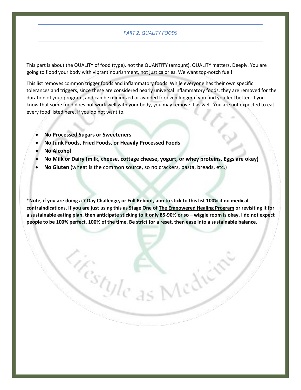#### *PART 2: QUALITY FOODS*

This part is about the QUALITY of food (type), not the QUANTITY (amount). QUALITY matters. Deeply. You are going to flood your body with vibrant nourishment, not just calories. We want top-notch fuel!

This list removes common trigger foods and inflammatory foods. While everyone has their own specific tolerances and triggers, since these are considered nearly universal inflammatory foods, they are removed for the duration of your program, and can be minimized or avoided for even longer if you find you feel better. If you know that some food does not work well with your body, you may remove it as well. You are not expected to eat every food listed here, if you do not want to.

- **No Processed Sugars or Sweeteners**
- **No Junk Foods, Fried Foods, or Heavily Processed Foods**

 $\begin{bmatrix} c_{\mathcal{S}t_{\mathcal{Y}}|c} \end{bmatrix}$ 

- **No Alcohol**
- **No Milk or Dairy (milk, cheese, cottage cheese, yogurt, or whey proteins. Eggs are okay)**
- **No Gluten** (wheat is the common source, so no crackers, pasta, breads, etc.)

**\*Note, if you are doing a 7 Day Challenge, or Full Reboot, aim to stick to this list 100% if no medical contraindications. If you are just using this as Stage One of The Empowered Healing Program or revisiting it for a sustainable eating plan, then anticipate sticking to it only 85-90% or so – wiggle room is okay. I do not expect people to be 100% perfect, 100% of the time. Be strict for a reset, then ease into a sustainable balance.**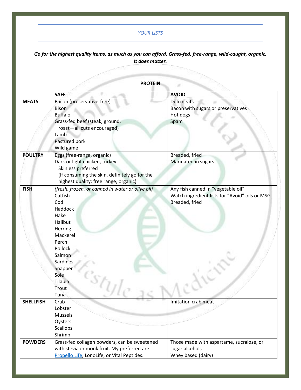### *YOUR LISTS*

# *Go for the highest quality items, as much as you can afford. Grass-fed, free-range, wild-caught, organic. It does matter.*  $\overline{\phantom{a}}$ a dhe ann ann ann ann an Sìreann ann an Sìreann ann an Sìreann an Sìrean ann an Sìrean ann an Sìrean ann an Sìr<br>Tagairte

**PROTEIN**

|                  | <b>SAFE</b>                                                                                                                                                                                                      | <b>AVOID</b>                                                                                           |
|------------------|------------------------------------------------------------------------------------------------------------------------------------------------------------------------------------------------------------------|--------------------------------------------------------------------------------------------------------|
| <b>MEATS</b>     | Bacon (preservative-free)<br><b>Bison</b><br><b>Buffalo</b><br>Grass-fed beef (steak, ground,<br>roast-all cuts encouraged)<br>Lamb<br>Pastured pork<br>Wild game                                                | Deli meats<br>Bacon with sugars or preservatives<br>Hot dogs<br>Spam                                   |
| <b>POULTRY</b>   | Eggs (free-range, organic)<br>Dark or light chicken, turkey<br>Skinless preferred<br>(If consuming the skin, definitely go for the<br>highest quality: free range, organic)                                      | Breaded, fried<br>Marinated in sugars                                                                  |
| <b>FISH</b>      | (fresh, frozen, or canned in water or olive oil)<br>Catfish<br>Cod<br>Haddock<br>Hake<br>Halibut<br>Herring<br>Mackerel<br>Perch<br>Pollock<br>Salmon<br>Sardines<br>Snapper<br>Sole<br>Tilapia<br>Trout<br>Tuna | Any fish canned in "vegetable oil"<br>Watch ingredient lists for "Avoid" oils or MSG<br>Breaded, fried |
| <b>SHELLFISH</b> | Crab<br>Lobster<br><b>Mussels</b><br>Oysters<br>Scallops<br>Shrimp                                                                                                                                               | Imitation crab meat                                                                                    |
| <b>POWDERS</b>   | Grass-fed collagen powders, can be sweetened<br>with stevia or monk fruit. My preferred are<br>Propello Life, LonoLife, or Vital Peptides.                                                                       | Those made with aspartame, sucralose, or<br>sugar alcohols<br>Whey based (dairy)                       |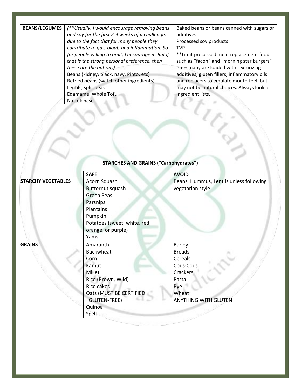| (**Usually, I would encourage removing beans       | Baked beans or beans canned with sugars or   |
|----------------------------------------------------|----------------------------------------------|
| and soy for the first 2-4 weeks of a challenge,    | additives                                    |
| due to the fact that for many people they          | Processed soy products                       |
| contribute to gas, bloat, and inflammation. So     | <b>TVP</b>                                   |
| for people willing to omit, I encourage it. But if | ** Limit processed meat replacement foods    |
| that is the strong personal preference, then       | such as "facon" and "morning star burgers"   |
| these are the options)                             | $etc$ – many are loaded with texturizing     |
| Beans (kidney, black, navy. Pinto, etc)            | additives, gluten fillers, inflammatory oils |
| Refried beans (watch other ingredients)            | and replacers to emulate mouth-feel, but     |
| Lentils, split peas                                | may not be natural choices. Always look at   |
| Edamame, Whole Tofu                                | ingredient lists.                            |
| Nattokinase                                        |                                              |
|                                                    |                                              |
|                                                    |                                              |

|                           | <b>SAFE</b>                  | <b>AVOID</b>                            |
|---------------------------|------------------------------|-----------------------------------------|
| <b>STARCHY VEGETABLES</b> | Acorn Squash                 | Beans, Hummus, Lentils unless following |
|                           | Butternut squash             | vegetarian style                        |
|                           | <b>Green Peas</b>            |                                         |
|                           | Parsnips                     |                                         |
|                           | Plantains                    |                                         |
|                           | Pumpkin                      |                                         |
|                           | Potatoes (sweet, white, red, |                                         |
|                           | orange, or purple)           |                                         |
|                           | Yams                         |                                         |
| <b>GRAINS</b>             | Amaranth                     | Barley                                  |
|                           | <b>Buckwheat</b>             | <b>Breads</b>                           |
|                           | Corn                         | Cereals                                 |
|                           | Kamut                        | Cous-Cous                               |
|                           | Millet                       | <b>Crackers</b>                         |
|                           | Rice (Brown, Wild)           | Pasta                                   |
|                           | Rice cakes                   | Rye                                     |
|                           | Oats (MUST BE CERTIFIED      | Wheat                                   |
|                           | <b>GLUTEN-FREE)</b>          | <b>ANYTHING WITH GLUTEN</b>             |
|                           | Quinoa                       |                                         |
|                           | Spelt                        |                                         |

# **STARCHES AND GRAINS ("Carbohydrates")**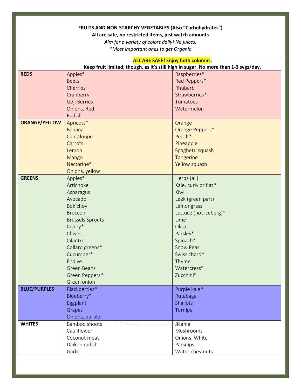### **FRUITS AND NON-STARCHY VEGETABLES (Also "Carbohydrates")**

### **All are safe, no restricted items, just watch amounts**

*Aim for a variety of colors daily! No juices.*

*\*Most important ones to get Organic*

|                                      | <b>ALL ARE SAFE! Enjoy both columns.</b>                                            |  |  |
|--------------------------------------|-------------------------------------------------------------------------------------|--|--|
|                                      | Keep fruit limited, though, as it's still high in sugar. No more than 1-3 svgs/day. |  |  |
| <b>REDS</b><br>Apples*               | Raspberries*                                                                        |  |  |
| <b>Beets</b>                         | Red Peppers*                                                                        |  |  |
| Cherries                             | Rhubarb                                                                             |  |  |
| Cranberry                            | Strawberries*                                                                       |  |  |
| Goji Berries                         | Tomatoes                                                                            |  |  |
| Onions, Red                          | Watermelon                                                                          |  |  |
| Radish                               |                                                                                     |  |  |
| <b>ORANGE/YELLOW</b><br>Apricots*    | Orange                                                                              |  |  |
| <b>Banana</b>                        | Orange Peppers*                                                                     |  |  |
| Cantaloupe                           | Peach*                                                                              |  |  |
| Carrots                              | Pineapple                                                                           |  |  |
| Lemon                                | Spaghetti squash                                                                    |  |  |
| Mango                                | Tangerine                                                                           |  |  |
| Nectarine*                           | Yellow squash                                                                       |  |  |
| Onions, yellow                       |                                                                                     |  |  |
| <b>GREENS</b><br>Apples*             | Herbs (all)                                                                         |  |  |
| Artichoke                            | Kale, curly or flat*                                                                |  |  |
| Kiwi<br>Asparagus                    |                                                                                     |  |  |
| Avocado                              | Leek (green part)                                                                   |  |  |
| Bok choy                             | Lemongrass                                                                          |  |  |
| <b>Broccoli</b>                      | Lettuce (not iceberg)*                                                              |  |  |
| <b>Brussels Sprouts</b><br>Lime      |                                                                                     |  |  |
| Celery*<br>Okra                      |                                                                                     |  |  |
| Chives                               | Parsley*                                                                            |  |  |
| Cilantro                             | Spinach*                                                                            |  |  |
| Collard greens*                      | <b>Snow Peas</b>                                                                    |  |  |
| Cucumber*                            | Swiss chard*                                                                        |  |  |
| Endive                               | Thyme                                                                               |  |  |
| <b>Green Beans</b>                   | Watercress*                                                                         |  |  |
| Green Peppers*                       | Zucchini*                                                                           |  |  |
| Green onion                          |                                                                                     |  |  |
| <b>BLUE/PURPLES</b><br>Blackberries* | Purple kale*                                                                        |  |  |
| Blueberry*                           | Rutabaga                                                                            |  |  |
| Eggplant                             | <b>Shallots</b>                                                                     |  |  |
| Grapes                               | Turnips                                                                             |  |  |
| Onions, purple                       |                                                                                     |  |  |
| <b>WHITES</b><br>Bamboo shoots       | Jicama                                                                              |  |  |
| Cauliflower                          | Mushrooms                                                                           |  |  |
| Coconut meat                         | Onions, White                                                                       |  |  |
| Daikon radish                        | Parsnips                                                                            |  |  |
| Garlic                               | Water chestnuts                                                                     |  |  |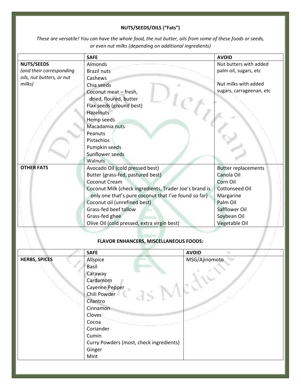### **NUTS/SEEDS/OILS ("Fats")**

*These are versatile! You can have the whole food, the nut butter, oils from some of these foods or seeds, or even nut milks (depending on additional ingredients)*

|                           | <b>SAFE</b>                                            |               | <b>AVOID</b>               |
|---------------------------|--------------------------------------------------------|---------------|----------------------------|
| <b>NUTS/SEEDS</b>         | Almonds                                                |               | Nut butters with added     |
| (and their corresponding  | <b>Brazil nuts</b>                                     |               | palm oil, sugars, etc      |
| oils, nut butters, or nut | Cashews                                                |               |                            |
| milks)                    | Chia seeds                                             |               | Nut milks with added       |
|                           | Coconut meat - fresh,                                  |               | sugars, carrageenan, etc   |
|                           | dried, floured, butter                                 |               |                            |
|                           | Flax seeds (ground best)                               |               |                            |
|                           | Hazelnuts                                              |               |                            |
|                           | Hemp seeds                                             |               |                            |
|                           | Macadamia nuts                                         |               |                            |
|                           | Peanuts                                                |               |                            |
|                           | Pistachios                                             |               |                            |
|                           | Pumpkin seeds                                          |               |                            |
|                           | Sunflower seeds                                        |               |                            |
|                           | Walnuts                                                |               |                            |
| <b>OTHER FATS</b>         | Avocado Oil (cold pressed best)                        |               | <b>Butter replacements</b> |
|                           | Butter (grass-fed, pastured best)                      |               | Canola Oil                 |
|                           | Coconut Cream                                          |               | Corn Oil                   |
|                           | Coconut Milk (check ingredients, Trader Joe's brand is |               | <b>Cottonseed Oil</b>      |
|                           | only one that's pure coconut that I've found so far)   |               | Margarine                  |
|                           | Coconut oil (unrefined best)                           |               | Palm Oil                   |
|                           | Grass-fed beef tallow                                  |               | Safflower Oil              |
|                           | Grass-fed ghee                                         |               | Soybean Oil                |
|                           | Olive Oil (cold pressed, extra virgin best)            |               | Vegetable Oil              |
|                           |                                                        |               |                            |
|                           | <b>FLAVOR ENHANCERS, MISCELLANEOUS FOODS:</b>          |               |                            |
|                           | <b>SAFE</b>                                            | <b>AVOID</b>  |                            |
| <b>HERBS, SPICES</b>      | Allspice                                               | MSG/Ajinomoto |                            |
|                           | Basil                                                  |               |                            |
|                           | Caraway                                                |               |                            |
|                           | Cardamom                                               |               |                            |
|                           | Cayenne Pepper                                         |               |                            |
|                           | Chili Powder                                           |               |                            |
|                           | Cilantro                                               |               |                            |
|                           | Cinnamon                                               |               |                            |
|                           | Cloves                                                 |               |                            |
|                           | Cocoa                                                  |               |                            |
|                           | Coriander                                              |               |                            |
|                           | Cumin                                                  |               |                            |
|                           | Curry Powders (most, check ingredients)                |               |                            |
|                           | Ginger                                                 |               |                            |
|                           | Mint                                                   |               |                            |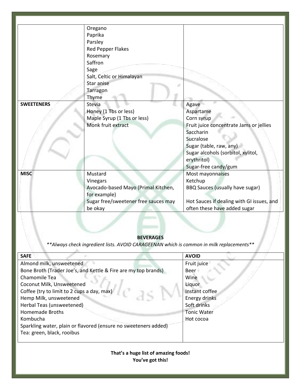|                   | Oregano<br>Paprika<br>Parsley<br>Red Pepper Flakes<br>Rosemary<br>Saffron                                                     |                                                                                                                                                                                                               |
|-------------------|-------------------------------------------------------------------------------------------------------------------------------|---------------------------------------------------------------------------------------------------------------------------------------------------------------------------------------------------------------|
|                   | Sage<br>Salt, Celtic or Himalayan<br>Star anise<br><b>Tarragon</b><br>Thyme                                                   |                                                                                                                                                                                                               |
| <b>SWEETENERS</b> | Stevia<br>Honey (1 Tbs or less)<br>Maple Syrup (1 Tbs or less)<br>Monk fruit extract                                          | Agave<br>Aspartame<br>Corn syrup<br>Fruit juice concentrate Jams or jellies<br>Saccharin<br>Sucralose<br>Sugar (table, raw, any)<br>Sugar alcohols (sorbitol, xylitol,<br>erythritol)<br>Sugar-free candy/gum |
| <b>MISC</b>       | Mustard<br>Vinegars<br>Avocado-based Mayo (Primal Kitchen,<br>for example)<br>Sugar free/sweetener free sauces may<br>be okay | Most mayonnaises<br>Ketchup<br>BBQ Sauces (usually have sugar)<br>Hot Sauces if dealing with GI issues, and<br>often these have added sugar                                                                   |

### **BEVERAGES**

*\*\*Always check ingredient lists. AVOID CARAGEENAN which is common in milk replacements\*\**

a.

| <b>SAFE</b>                                                     | <b>AVOID</b>       |
|-----------------------------------------------------------------|--------------------|
| Almond milk, unsweetened                                        | Fruit juice        |
| Bone Broth (Trader Joe's, and Kettle & Fire are my top brands)  | Beer               |
| Chamomile Tea                                                   | Wine               |
| Coconut Milk, Unsweetened                                       | Liquor             |
| Coffee (try to limit to 2 cups a day, max)                      | Instant coffee     |
| Hemp Milk, unsweetened                                          | Energy drinks      |
| Herbal Teas (unsweetened)                                       | Soft drinks        |
| <b>Homemade Broths</b>                                          | <b>Tonic Water</b> |
| Kombucha                                                        | Hot cocoa          |
| Sparkling water, plain or flavored (ensure no sweeteners added) |                    |
| Tea: green, black, rooibus                                      |                    |
|                                                                 |                    |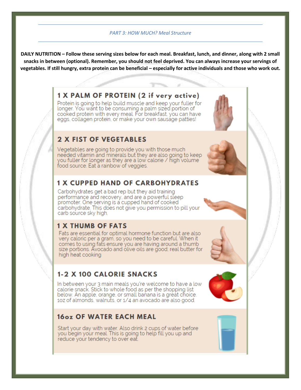#### *PART 3: HOW MUCH? Meal Structure*

**DAILY NUTRITION – Follow these serving sizes below for each meal. Breakfast, lunch, and dinner, along with 2 small snacks in between (optional). Remember, you should not feel deprived. You can always increase your servings of vegetables. If still hungry, extra protein can be beneficial – especially for active individuals and those who work out.**

## 1 X PALM OF PROTEIN (2 if very active)

Protein is going to help build muscle and keep your fuller for longer. You want to be consuming a palm sized portion of cooked protein with every meal. For breakfast, you can have eggs, collagen protein, or make your own sausage patties!

# 2 X FIST OF VEGETABLES

Vegetables are going to provide you with those much needed vitamin and minerals but they are also going to keep you fuller for longer as they are a low calorie / high volume food source. Eat a rainbow of veggies.

## **1 X CUPPED HAND OF CARBOHYDRATES**

Carbohydrates get a bad rep but they aid training performance and recovery, and are a powerful sleep promoter. One serving is a cupped hand of cooked carbohydrate. This does not give you permission to pill your carb source sky high.

## **1 X THUMB OF FATS**

Fats are essential for optimal hormone function but are also very caloric per a gram, so you need to be careful. When it comes to using fats ensure you are having around a thumb size portions. Avocado and olive oils are good; real butter for high heat cooking

# **1-2 X 100 CALORIE SNACKS**

In between your 3 main meals you're welcome to have a low calorie snack. Stick to whole food as per the shopping list below. An apple, orange, or small banana is a great choice. 102 of almonds, walnuts, or 1/4 an avocado are also good.

# 16oz OF WATER EACH MEAL

Start your day with water. Also drink 2 cups of water before you begin your meal. This is going to help fill you up and reduce your tendency to over eat.









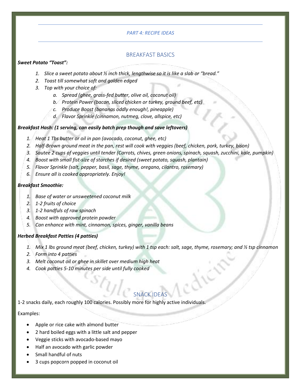### *PART 4: RECIPE IDEAS*

### BREAKFAST BASICS

### *Sweet Potato "Toast":*

- *1. Slice a sweet potato about ½ inch thick, lengthwise so it is like a slab or "bread."*
- *2. Toast till somewhat soft and golden edged*
- *3. Top with your choice of:*
	- *a. Spread (ghee, grass-fed butter, olive oil, coconut oil)*
	- *b. Protein Power (bacon, sliced chicken or turkey, ground beef, etc)*
	- *c. Produce Boost (bananas oddly enough!, pineapple)*
	- *d. Flavor Sprinkle (cinnamon, nutmeg, clove, allspice, etc)*

### *Breakfast Hash: (1 serving, can easily batch prep though and save leftovers)*

- *1. Heat 1 Tbs butter or oil in pan (avocado, coconut, ghee, etc)*
- *2. Half-Brown ground meat in the pan, rest will cook with veggies (beef, chicken, pork, turkey, bison)*
- *3. Sautee 2 cups of veggies until tender (Carrots, chives, green onions, spinach, squash, zucchini, kale, pumpkin)*
- *4. Boost with small fist-size of starches if desired (sweet potato, squash, plantain)*
- *5. Flavor Sprinkle (salt, pepper, basil, sage, thyme, oregano, cilantro, rosemary)*
- *6. Ensure all is cooked appropriately. Enjoy!*

#### *Breakfast Smoothie:*

- *1. Base of water or unsweetened coconut milk*
- *2. 1-2 fruits of choice*
- *3. 1-2 handfuls of raw spinach*
- *4. Boost with approved protein powder*
- *5. Can enhance with mint, cinnamon, spices, ginger, vanilla beans*

### *Herbed Breakfast Patties (4 patties)*

- *1. Mix 1 lbs ground meat (beef, chicken, turkey) with 1 tsp each: salt, sage, thyme, rosemary; and ½ tsp cinnamon*
- *2. Form into 4 patties*
- *3. Melt coconut oil or ghee in skillet over medium high heat*
- *4. Cook patties 5-10 minutes per side until fully cooked*

# SNACK IDE

1-2 snacks daily, each roughly 100 calories. Possibly more for highly active individuals.

### Examples:

- Apple or rice cake with almond butter
- 2 hard boiled eggs with a little salt and pepper
- Veggie sticks with avocado-based mayo
- Half an avocado with garlic powder
- Small handful of nuts
- 3 cups popcorn popped in coconut oil